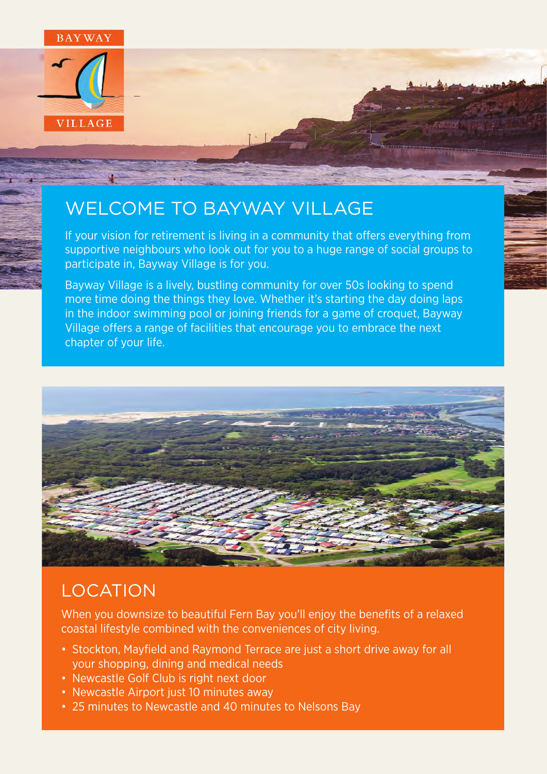

## WELCOME TO BAYWAY VILLAGE

If your vision for retirement is living in a community that offers everything from supportive neighbours who look out for you to a huge range of social groups to participate in, Bayway Village is for you.

Bayway Village is a lively, bustling community for over 50s looking to spend more time doing the things they love. Whether it's starting the day doing laps in the indoor swimming pool or joining friends for a game of croquet, Bayway Village offers a range of facilities that encourage you to embrace the next chapter of your life.



### LOCATION

When you downsize to beautiful Fern Bay you'll enjoy the benefits of a relaxed coastal lifestyle combined with the conveniences of city living.

- Stockton, Mayfield and Raymond Terrace are just a short drive away for all your shopping, dining and medical needs
- Newcastle Golf Club is right next door
- Newcastle Airport just 10 minutes away
- 25 minutes to Newcastle and 40 minutes to Nelsons Bay